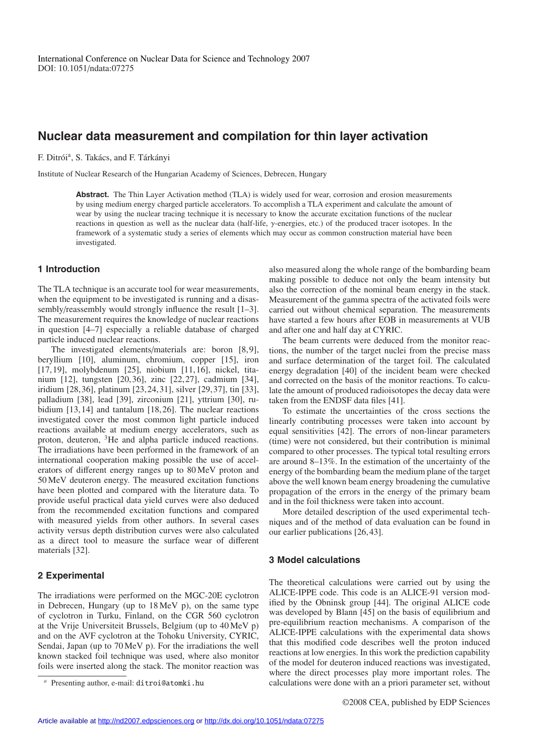# **Nuclear data measurement and compilation for thin layer activation**

F. Ditrói<sup>a</sup>, S. Takács, and F. Tárkányi

Institute of Nuclear Research of the Hungarian Academy of Sciences, Debrecen, Hungary

**Abstract.** The Thin Layer Activation method (TLA) is widely used for wear, corrosion and erosion measurements by using medium energy charged particle accelerators. To accomplish a TLA experiment and calculate the amount of wear by using the nuclear tracing technique it is necessary to know the accurate excitation functions of the nuclear reactions in question as well as the nuclear data (half-life, γ-energies, etc.) of the produced tracer isotopes. In the framework of a systematic study a series of elements which may occur as common construction material have been investigated.

## **1 Introduction**

The TLA technique is an accurate tool for wear measurements, when the equipment to be investigated is running and a disassembly/reassembly would strongly influence the result [1–3]. The measurement requires the knowledge of nuclear reactions in question [4–7] especially a reliable database of charged particle induced nuclear reactions.

The investigated elements/materials are: boron [8,9], beryllium [10], aluminum, chromium, copper [15], iron [17,19], molybdenum [25], niobium [11,16], nickel, titanium [12], tungsten [20,36], zinc [22,27], cadmium [34], iridium [28,36], platinum [23,24,31], silver [29,37], tin [33], palladium [38], lead [39], zirconium [21], yttrium [30], rubidium [13,14] and tantalum [18,26]. The nuclear reactions investigated cover the most common light particle induced reactions available at medium energy accelerators, such as proton, deuteron, <sup>3</sup>He and alpha particle induced reactions. The irradiations have been performed in the framework of an international cooperation making possible the use of accelerators of different energy ranges up to 80 MeV proton and 50 MeV deuteron energy. The measured excitation functions have been plotted and compared with the literature data. To provide useful practical data yield curves were also deduced from the recommended excitation functions and compared with measured yields from other authors. In several cases activity versus depth distribution curves were also calculated as a direct tool to measure the surface wear of different materials [32].

## **2 Experimental**

The irradiations were performed on the MGC-20E cyclotron in Debrecen, Hungary (up to 18 MeV p), on the same type of cyclotron in Turku, Finland, on the CGR 560 cyclotron at the Vrije Universiteit Brussels, Belgium (up to 40 MeV p) and on the AVF cyclotron at the Tohoku University, CYRIC, Sendai, Japan (up to 70 MeV p). For the irradiations the well known stacked foil technique was used, where also monitor foils were inserted along the stack. The monitor reaction was also measured along the whole range of the bombarding beam making possible to deduce not only the beam intensity but also the correction of the nominal beam energy in the stack. Measurement of the gamma spectra of the activated foils were carried out without chemical separation. The measurements have started a few hours after EOB in measurements at VUB and after one and half day at CYRIC.

The beam currents were deduced from the monitor reactions, the number of the target nuclei from the precise mass and surface determination of the target foil. The calculated energy degradation [40] of the incident beam were checked and corrected on the basis of the monitor reactions. To calculate the amount of produced radioisotopes the decay data were taken from the ENDSF data files [41].

To estimate the uncertainties of the cross sections the linearly contributing processes were taken into account by equal sensitivities [42]. The errors of non-linear parameters (time) were not considered, but their contribution is minimal compared to other processes. The typical total resulting errors are around 8–13%. In the estimation of the uncertainty of the energy of the bombarding beam the medium plane of the target above the well known beam energy broadening the cumulative propagation of the errors in the energy of the primary beam and in the foil thickness were taken into account.

More detailed description of the used experimental techniques and of the method of data evaluation can be found in our earlier publications [26,43].

## **3 Model calculations**

The theoretical calculations were carried out by using the ALICE-IPPE code. This code is an ALICE-91 version modified by the Obninsk group [44]. The original ALICE code was developed by Blann [45] on the basis of equilibrium and pre-equilibrium reaction mechanisms. A comparison of the ALICE-IPPE calculations with the experimental data shows that this modified code describes well the proton induced reactions at low energies. In this work the prediction capability of the model for deuteron induced reactions was investigated, where the direct processes play more important roles. The calculations were done with an a priori parameter set, without

Presenting author, e-mail: ditroi@atomki.hu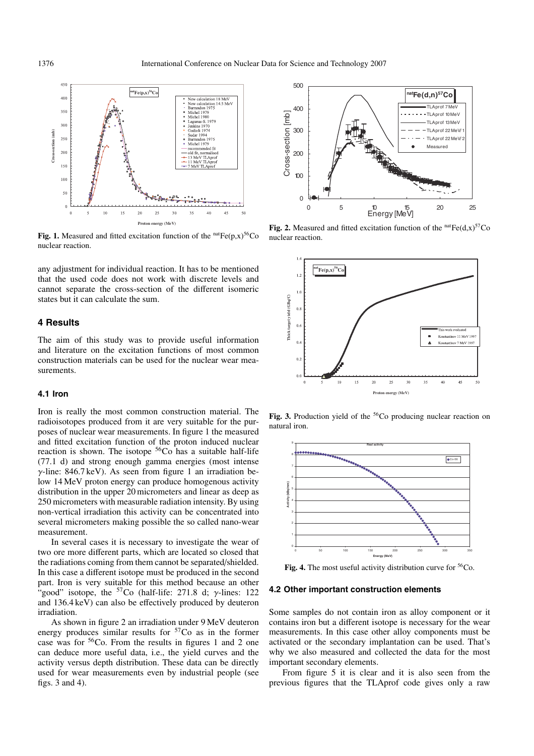

**Fig. 1.** Measured and fitted excitation function of the  $n^{\text{nat}}Fe(p,x)^{56}Co$ nuclear reaction.

any adjustment for individual reaction. It has to be mentioned that the used code does not work with discrete levels and cannot separate the cross-section of the different isomeric states but it can calculate the sum.

## **4 Results**

The aim of this study was to provide useful information and literature on the excitation functions of most common construction materials can be used for the nuclear wear measurements.

#### **4.1 Iron**

Iron is really the most common construction material. The radioisotopes produced from it are very suitable for the purposes of nuclear wear measurements. In figure 1 the measured and fitted excitation function of the proton induced nuclear reaction is shown. The isotope 56Co has a suitable half-life (77.1 d) and strong enough gamma energies (most intense  $\gamma$ -line: 846.7 keV). As seen from figure 1 an irradiation below 14 MeV proton energy can produce homogenous activity distribution in the upper 20 micrometers and linear as deep as 250 micrometers with measurable radiation intensity. By using non-vertical irradiation this activity can be concentrated into several micrometers making possible the so called nano-wear measurement.

In several cases it is necessary to investigate the wear of two ore more different parts, which are located so closed that the radiations coming from them cannot be separated/shielded. In this case a different isotope must be produced in the second part. Iron is very suitable for this method because an other "good" isotope, the  $57\text{Co}$  (half-life: 271.8 d;  $\nu$ -lines: 122 and 136.4 keV) can also be effectively produced by deuteron irradiation.

As shown in figure 2 an irradiation under 9 MeV deuteron energy produces similar results for  $57C<sub>O</sub>$  as in the former case was for  ${}^{56}Co$ . From the results in figures 1 and 2 one can deduce more useful data, i.e., the yield curves and the activity versus depth distribution. These data can be directly used for wear measurements even by industrial people (see figs. 3 and 4).



**Fig. 2.** Measured and fitted excitation function of the  $natFe(d,x)$ <sup>57</sup>Co nuclear reaction.



Fig. 3. Production yield of the <sup>56</sup>Co producing nuclear reaction on natural iron.



Fig. 4. The most useful activity distribution curve for <sup>56</sup>Co.

#### **4.2 Other important construction elements**

Some samples do not contain iron as alloy component or it contains iron but a different isotope is necessary for the wear measurements. In this case other alloy components must be activated or the secondary implantation can be used. That's why we also measured and collected the data for the most important secondary elements.

From figure 5 it is clear and it is also seen from the previous figures that the TLAprof code gives only a raw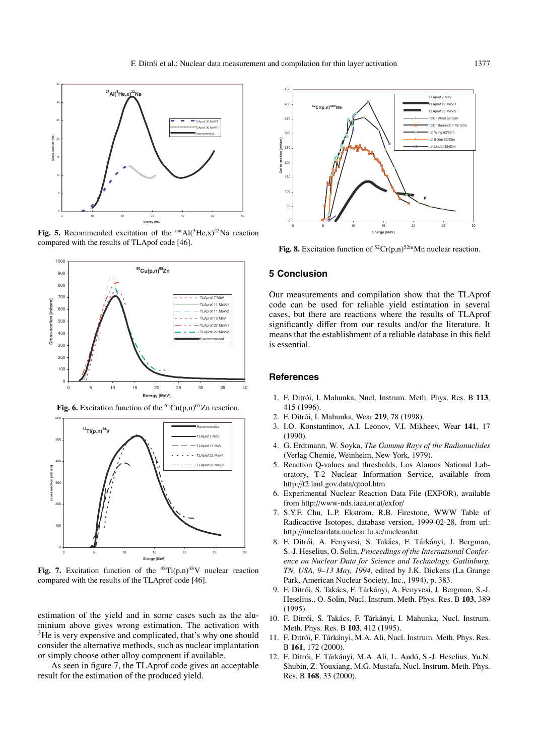

Fig. 5. Recommended excitation of the  $natAl(^{3}He, x)^{22}Na$  reaction compared with the results of TLApof code [46].



**Fig. 6.** Excitation function of the  ${}^{65}Cu(p,n){}^{65}Zn$  reaction.



**Fig. 7.** Excitation function of the  $^{48}Ti(p,n)^{48}V$  nuclear reaction compared with the results of the TLAprof code [46].

estimation of the yield and in some cases such as the aluminium above gives wrong estimation. The activation with <sup>3</sup>He is very expensive and complicated, that's why one should consider the alternative methods, such as nuclear implantation or simply choose other alloy component if available.

As seen in figure 7, the TLAprof code gives an acceptable result for the estimation of the produced yield.



**Fig. 8.** Excitation function of  ${}^{52}Cr(p,n){}^{52m}Mn$  nuclear reaction.

#### **5 Conclusion**

Our measurements and compilation show that the TLAprof code can be used for reliable yield estimation in several cases, but there are reactions where the results of TLAprof significantly differ from our results and/or the literature. It means that the establishment of a reliable database in this field is essential.

#### **References**

- 1. F. Ditrói, I. Mahunka, Nucl. Instrum. Meth. Phys. Res. B 113, 415 (1996).
- 2. F. Ditrói, I. Mahunka, Wear 219, 78 (1998).
- 3. I.O. Konstantinov, A.I. Leonov, V.I. Mikheev, Wear **141**, 17 (1990).
- 4. G. Erdtmann, W. Soyka, *The Gamma Rays of the Radionuclides* (Verlag Chemie, Weinheim, New York, 1979).
- 5. Reaction Q-values and thresholds, Los Alamos National Laboratory, T-2 Nuclear Information Service, available from http://t2.lanl.gov.data/qtool.htm
- 6. Experimental Nuclear Reaction Data File (EXFOR), available from http://www-nds.iaea.or.at/exfor/
- 7. S.Y.F. Chu, L.P. Ekstrom, R.B. Firestone, WWW Table of Radioactive Isotopes, database version, 1999-02-28, from url: http://nucleardata.nuclear.lu.se/nucleardat.
- 8. F. Ditrói, A. Fenyvesi, S. Takács, F. Tárkányi, J. Bergman, S.-J. Heselius, O. Solin, *Proceedings of the International Conference on Nuclear Data for Science and Technology, Gatlinburg, TN, USA, 9–13 May, 1994*, edited by J.K. Dickens (La Grange Park, American Nuclear Society, Inc., 1994), p. 383.
- 9. F. Ditrói, S. Takács, F. Tárkányi, A. Fenyvesi, J. Bergman, S.-J. Heselius., O. Solin, Nucl. Instrum. Meth. Phys. Res. B **103**, 389 (1995).
- 10. F. Ditrói, S. Takács, F. Tárkányi, I. Mahunka, Nucl. Instrum. Meth. Phys. Res. B **103**, 412 (1995).
- 11. F. Ditrói, F. Tárkányi, M.A. Ali, Nucl. Instrum. Meth. Phys. Res. B **161**, 172 (2000).
- 12. F. Ditrói, F. Tárkányi, M.A. Ali, L. Andó, S.-J. Heselius, Yu.N. Shubin, Z. Youxiang, M.G. Mustafa, Nucl. Instrum. Meth. Phys. Res. B **168**, 33 (2000).